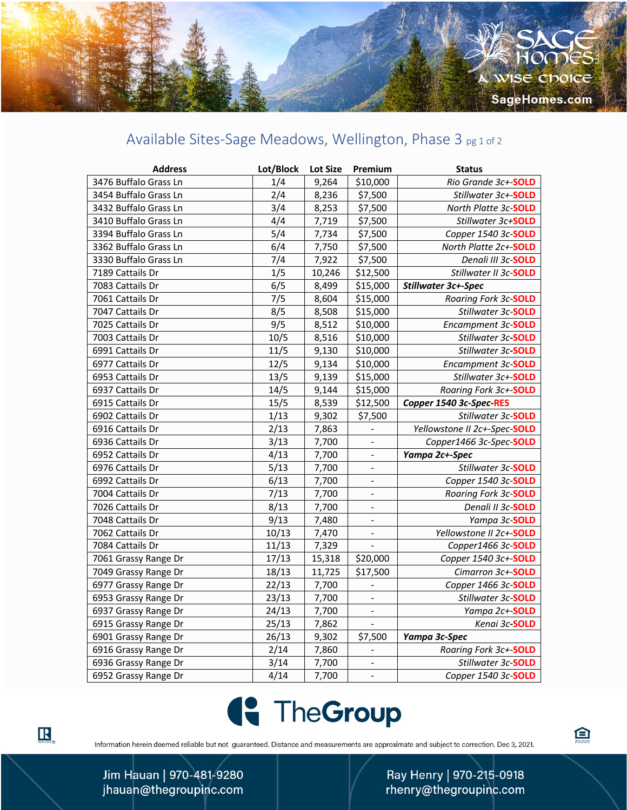## Available Sites-Sage Meadows, Wellington, Phase 3 pg 1 of 2

| <b>Address</b>        | Lot/Block | <b>Lot Size</b> | Premium                  | <b>Status</b>                |
|-----------------------|-----------|-----------------|--------------------------|------------------------------|
| 3476 Buffalo Grass Ln | 1/4       | 9,264           | \$10,000                 | Rio Grande 3c+-SOLD          |
| 3454 Buffalo Grass Ln | 2/4       | 8,236           | \$7,500                  | Stillwater 3c+-SOLD          |
| 3432 Buffalo Grass Ln | 3/4       | 8,253           | \$7,500                  | North Platte 3c-SOLD         |
| 3410 Buffalo Grass Ln | 4/4       | 7,719           | \$7,500                  | Stillwater 3c+SOLD           |
| 3394 Buffalo Grass Ln | 5/4       | 7,734           | \$7,500                  | Copper 1540 3c-SOLD          |
| 3362 Buffalo Grass Ln | 6/4       | 7,750           | \$7,500                  | North Platte 2c+-SOLD        |
| 3330 Buffalo Grass Ln | 7/4       | 7,922           | \$7,500                  | Denali III 3c-SOLD           |
| 7189 Cattails Dr      | 1/5       | 10,246          | \$12,500                 | Stillwater II 3c-SOLD        |
| 7083 Cattails Dr      | 6/5       | 8,499           | \$15,000                 | Stillwater 3c+-Spec          |
| 7061 Cattails Dr      | 7/5       | 8,604           | \$15,000                 | Roaring Fork 3c-SOLD         |
| 7047 Cattails Dr      | 8/5       | 8,508           | \$15,000                 | Stillwater 3c-SOLD           |
| 7025 Cattails Dr      | 9/5       | 8,512           | \$10,000                 | Encampment 3c-SOLD           |
| 7003 Cattails Dr      | 10/5      | 8,516           | \$10,000                 | Stillwater 3c-SOLD           |
| 6991 Cattails Dr      | 11/5      | 9,130           | \$10,000                 | Stillwater 3c-SOLD           |
| 6977 Cattails Dr      | 12/5      | 9,134           | \$10,000                 | Encampment 3c-SOLD           |
| 6953 Cattails Dr      | 13/5      | 9,139           | \$15,000                 | Stillwater 3c+-SOLD          |
| 6937 Cattails Dr      | 14/5      | 9,144           | \$15,000                 | Roaring Fork 3c+-SOLD        |
| 6915 Cattails Dr      | 15/5      | 8,539           | \$12,500                 | Copper 1540 3c-Spec-RES      |
| 6902 Cattails Dr      | 1/13      | 9,302           | \$7,500                  | Stillwater 3c-SOLD           |
| 6916 Cattails Dr      | 2/13      | 7,863           |                          | Yellowstone II 2c+-Spec-SOLD |
| 6936 Cattails Dr      | 3/13      | 7,700           | $\frac{1}{2}$            | Copper1466 3c-Spec-SOLD      |
| 6952 Cattails Dr      | 4/13      | 7,700           | $\blacksquare$           | Yampa 2c+-Spec               |
| 6976 Cattails Dr      | 5/13      | 7,700           | $\frac{1}{2}$            | Stillwater 3c-SOLD           |
| 6992 Cattails Dr      | 6/13      | 7,700           |                          | Copper 1540 3c-SOLD          |
| 7004 Cattails Dr      | 7/13      | 7,700           | $\blacksquare$           | Roaring Fork 3c-SOLD         |
| 7026 Cattails Dr      | 8/13      | 7,700           | $\overline{\phantom{a}}$ | Denali II 3c-SOLD            |
| 7048 Cattails Dr      | 9/13      | 7,480           | $\blacksquare$           | Yampa 3c-SOLD                |
| 7062 Cattails Dr      | 10/13     | 7,470           | $\qquad \qquad -$        | Yellowstone II 2c+-SOLD      |
| 7084 Cattails Dr      | 11/13     | 7,329           | $\overline{\phantom{0}}$ | Copper1466 3c-SOLD           |
| 7061 Grassy Range Dr  | 17/13     | 15,318          | \$20,000                 | Copper 1540 3c+-SOLD         |
| 7049 Grassy Range Dr  | 18/13     | 11,725          | \$17,500                 | Cimarron 3c+-SOLD            |
| 6977 Grassy Range Dr  | 22/13     | 7,700           | $\overline{a}$           | Copper 1466 3c-SOLD          |
| 6953 Grassy Range Dr  | 23/13     | 7,700           | ÷,                       | Stillwater 3c-SOLD           |
| 6937 Grassy Range Dr  | 24/13     | 7,700           | $\blacksquare$           | Yampa 2c+-SOLD               |
| 6915 Grassy Range Dr  | 25/13     | 7,862           |                          | Kenai 3c-SOLD                |
| 6901 Grassy Range Dr  | 26/13     | 9,302           | \$7,500                  | Yampa 3c-Spec                |
| 6916 Grassy Range Dr  | 2/14      | 7,860           | $\blacksquare$           | Roaring Fork 3c+-SOLD        |
| 6936 Grassy Range Dr  | 3/14      | 7,700           |                          | Stillwater 3c-SOLD           |
| 6952 Grassy Range Dr  | 4/14      | 7,700           | $\blacksquare$           | Copper 1540 3c-SOLD          |



Information herein deemed reliable but not guaranteed. Distance and measurements are approximate and subject to correction. Dec 3, 2021.

Ray Henry | 970-215-0918 rhenry@thegroupinc.com 白

Jim Hauan | 970-481-9280 jhauan@thegroupinc.com

 $\mathbf{R}_{\texttt{ReALIOR}}$